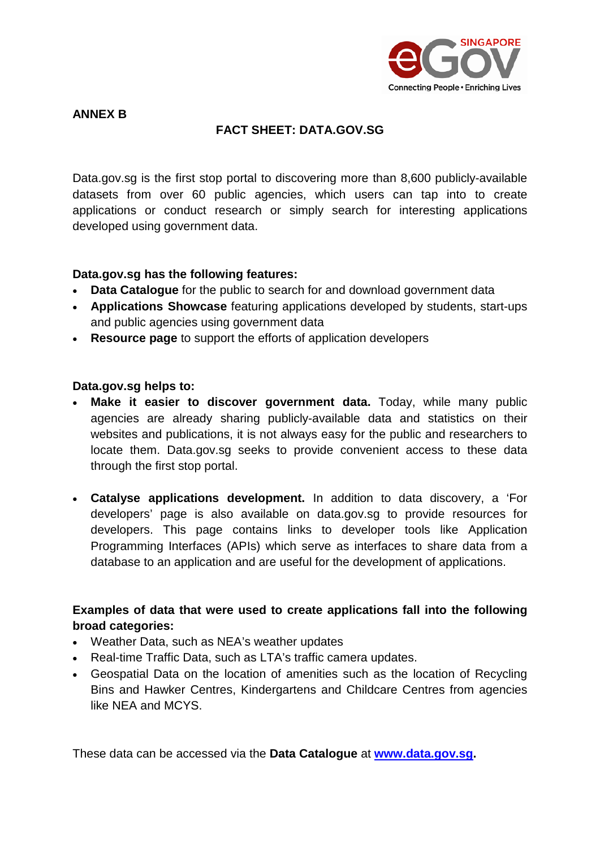

#### **ANNEX B**

# **FACT SHEET: DATA.GOV.SG**

Data.gov.sg is the first stop portal to discovering more than 8,600 publicly-available datasets from over 60 public agencies, which users can tap into to create applications or conduct research or simply search for interesting applications developed using government data.

#### **Data.gov.sg has the following features:**

- **Data Catalogue** for the public to search for and download government data
- **Applications Showcase** featuring applications developed by students, start-ups and public agencies using government data
- **Resource page** to support the efforts of application developers

## **Data.gov.sg helps to:**

- **Make it easier to discover government data.** Today, while many public agencies are already sharing publicly-available data and statistics on their websites and publications, it is not always easy for the public and researchers to locate them. Data.gov.sg seeks to provide convenient access to these data through the first stop portal.
- **Catalyse applications development.** In addition to data discovery, a 'For developers' page is also available on data.gov.sg to provide resources for developers. This page contains links to developer tools like Application Programming Interfaces (APIs) which serve as interfaces to share data from a database to an application and are useful for the development of applications.

# **Examples of data that were used to create applications fall into the following broad categories:**

- Weather Data, such as NEA's weather updates
- Real-time Traffic Data, such as LTA's traffic camera updates.
- Geospatial Data on the location of amenities such as the location of Recycling Bins and Hawker Centres, Kindergartens and Childcare Centres from agencies like NEA and MCYS.

These data can be accessed via the **Data Catalogue** at **[www.data.gov.sg.](http://www.data.gov.sg/)**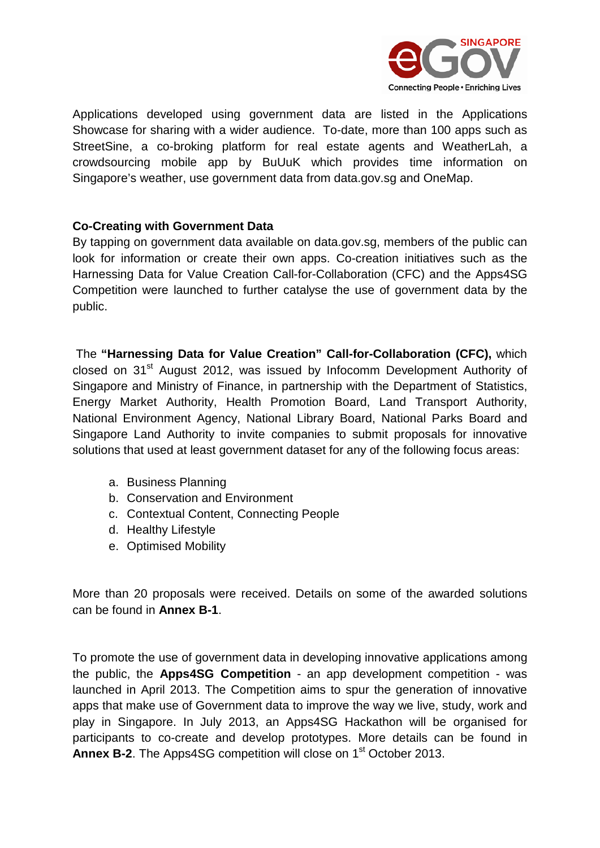

Applications developed using government data are listed in the Applications Showcase for sharing with a wider audience. To-date, more than 100 apps such as StreetSine, a co-broking platform for real estate agents and WeatherLah, a crowdsourcing mobile app by BuUuK which provides time information on Singapore's weather, use government data from [data.gov.sg](http://data.gov.sg/) and OneMap.

## **Co-Creating with Government Data**

By tapping on government data available on [data.gov.sg,](http://data.gov.sg/) members of the public can look for information or create their own apps. Co-creation initiatives such as the Harnessing Data for Value Creation Call-for-Collaboration (CFC) and the Apps4SG Competition were launched to further catalyse the use of government data by the public.

The **"Harnessing Data for Value Creation" Call-for-Collaboration (CFC),** which closed on 31<sup>st</sup> August 2012, was issued by Infocomm Development Authority of Singapore and Ministry of Finance, in partnership with the Department of Statistics, Energy Market Authority, Health Promotion Board, Land Transport Authority, National Environment Agency, National Library Board, National Parks Board and Singapore Land Authority to invite companies to submit proposals for innovative solutions that used at least government dataset for any of the following focus areas:

- a. Business Planning
- b. Conservation and Environment
- c. Contextual Content, Connecting People
- d. Healthy Lifestyle
- e. Optimised Mobility

More than 20 proposals were received. Details on some of the awarded solutions can be found in **Annex B-1**.

To promote the use of government data in developing innovative applications among the public, the **Apps4SG Competition** - an app development competition - was launched in April 2013. The Competition aims to spur the generation of innovative apps that make use of Government data to improve the way we live, study, work and play in Singapore. In July 2013, an Apps4SG Hackathon will be organised for participants to co-create and develop prototypes. More details can be found in **Annex B-2.** The Apps4SG competition will close on 1<sup>st</sup> October 2013.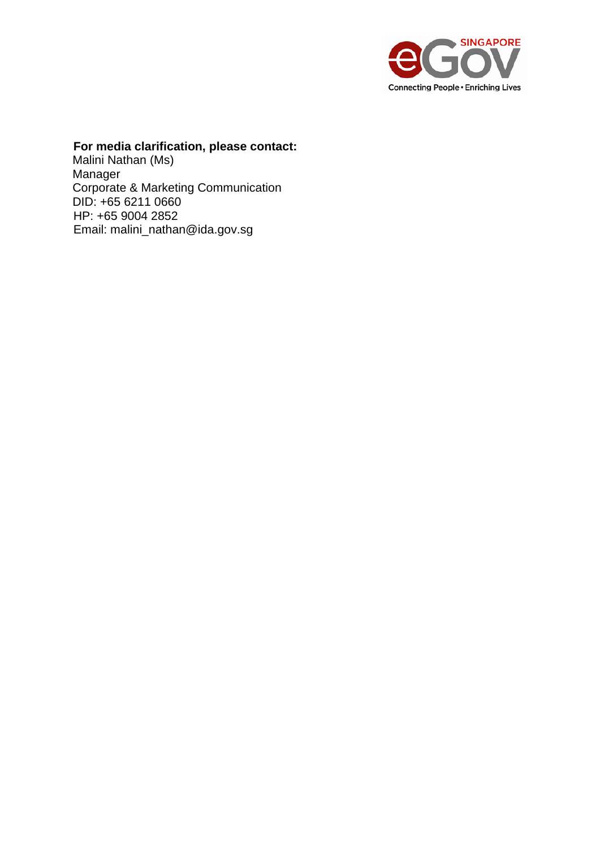

# **For media clarification, please contact:**

Malini Nathan (Ms) Manager Corporate & Marketing Communication DID: +65 6211 0660 HP: +65 9004 2852 Email: malini\_nathan@ida.gov.sg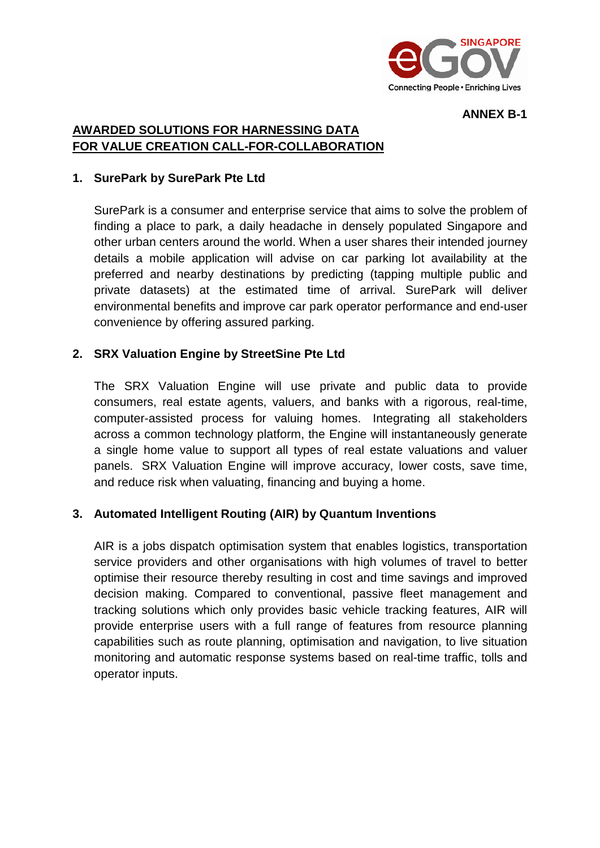

#### **ANNEX B-1**

## **AWARDED SOLUTIONS FOR HARNESSING DATA FOR VALUE CREATION CALL-FOR-COLLABORATION**

#### **1. SurePark by SurePark Pte Ltd**

SurePark is a consumer and enterprise service that aims to solve the problem of finding a place to park, a daily headache in densely populated Singapore and other urban centers around the world. When a user shares their intended journey details a mobile application will advise on car parking lot availability at the preferred and nearby destinations by predicting (tapping multiple public and private datasets) at the estimated time of arrival. SurePark will deliver environmental benefits and improve car park operator performance and end-user convenience by offering assured parking.

#### **2. SRX Valuation Engine by StreetSine Pte Ltd**

The SRX Valuation Engine will use private and public data to provide consumers, real estate agents, valuers, and banks with a rigorous, real-time, computer-assisted process for valuing homes. Integrating all stakeholders across a common technology platform, the Engine will instantaneously generate a single home value to support all types of real estate valuations and valuer panels. SRX Valuation Engine will improve accuracy, lower costs, save time, and reduce risk when valuating, financing and buying a home.

#### **3. Automated Intelligent Routing (AIR) by Quantum Inventions**

AIR is a jobs dispatch optimisation system that enables logistics, transportation service providers and other organisations with high volumes of travel to better optimise their resource thereby resulting in cost and time savings and improved decision making. Compared to conventional, passive fleet management and tracking solutions which only provides basic vehicle tracking features, AIR will provide enterprise users with a full range of features from resource planning capabilities such as route planning, optimisation and navigation, to live situation monitoring and automatic response systems based on real-time traffic, tolls and operator inputs.